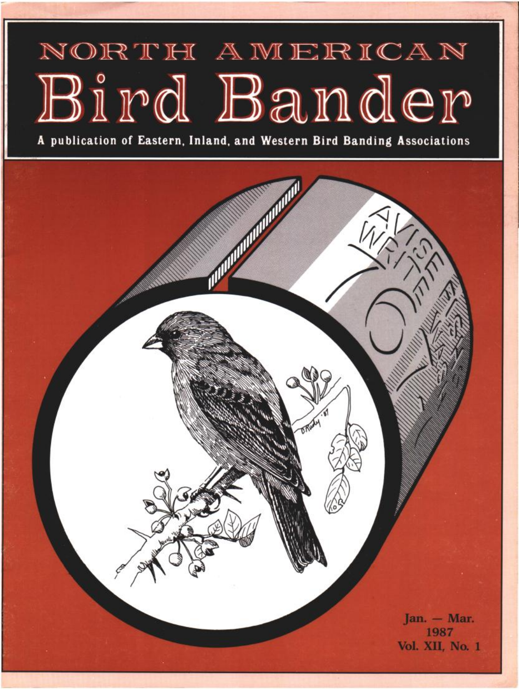# NORTH AMERICAN Bird Bander

**A publication of Eastern, Inland, and Western Bird Banding Associations** 

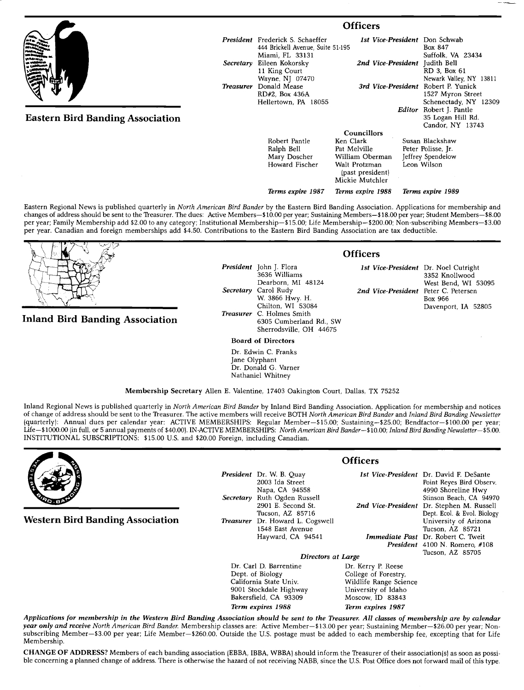|                                         | <b>Officers</b>  |                                                                                                 |                                                      |                                                                           |                                                                  |
|-----------------------------------------|------------------|-------------------------------------------------------------------------------------------------|------------------------------------------------------|---------------------------------------------------------------------------|------------------------------------------------------------------|
|                                         |                  | <b>President</b> Frederick S. Schaeffer<br>444 Brickell Avenue, Suite 51-195<br>Miami, FL 33131 |                                                      |                                                                           | 1st Vice-President Don Schwab<br>Box 847<br>Suffolk, VA 23434    |
|                                         | Secretary        | Eileen Kokorsky<br>11 King Court<br>Wayne, NJ 07470                                             |                                                      | 2nd Vice-President Judith Bell<br>RD 3, Box 61<br>Newark Valley, NY 13811 |                                                                  |
|                                         | <b>Treasurer</b> | Donald Mease<br>RD#2, Box 436A<br>Hellertown, PA 18055                                          | 3rd Vice-President                                   |                                                                           | Robert P. Yunick<br>1527 Myron Street<br>Schenectady, NY 12309   |
| <b>Eastern Bird Banding Association</b> |                  |                                                                                                 |                                                      |                                                                           | Editor Robert J. Pantle<br>35 Logan Hill Rd.<br>Candor, NY 13743 |
|                                         |                  | <b>Councillors</b>                                                                              |                                                      |                                                                           |                                                                  |
|                                         |                  | Robert Pantle                                                                                   | Ken Clark                                            |                                                                           | Susan Blackshaw                                                  |
|                                         |                  | Ralph Bell                                                                                      | Pat Melville                                         |                                                                           | Peter Polisse, Jr.                                               |
|                                         |                  | Mary Doscher                                                                                    | William Oberman                                      |                                                                           | Jeffrey Spendelow                                                |
|                                         |                  | Howard Fischer                                                                                  | Walt Protzman<br>(past president)<br>Mickie Mutchler |                                                                           | Leon Wilson                                                      |
|                                         |                  | Terms expire 1987                                                                               | Terms expire 1988                                    |                                                                           | Terms expire 1989                                                |

**Eastern Regional News is published quarterly in North American Bird Bander by the Eastern Bird Banding Association. Applications for membership and**  changes of address should be sent to the Treasurer. The dues: Active Members-\$10.00 per year; Sustaining Members-\$18.00 per year; Student Members-\$8.00 **per year; Family Membership add \$2.00 to any category; Institutional Membership--\$15.00; Life Membership--S200.00; Non-subscribing Members--S3.00 per year. Canadian and foreign memberships add \$4.50. Contributions to the Eastern Bird Banding Association are tax deductible.** 

**Inland Bird Banding Association** 

**President John J. Flora 3636 Williams Dearborn, MI 48124 Secretary Carol Rudy W. 3866 Hwy. H. Chilton, WI 53084 Treasurer C. Holmes Smith 6305 Cumberland Rd., SW Sherrodsville, OH 44675** 

**Board of Directors** 

**Dr. Edwin C. Franks Jane Olyphant Dr. Donald G. Varner Nathaniel Whitney** 

**Membership Secretary Allen E. Valentine, 17403 Oakington Court, Dallas, TX 75252** 

**Inland Regional News is published quarterly in North American Bird Bander by Inland Bird Banding Association. Application for membership and notices of change of address should be sent to the Treasurer. The active members will receive BOTH North American Bird Bander and Inland Bird Banding Newsletter (quarterlyl: Annual dues per calendar year: ACTIVE MEMBERSHIPS: Regular Member--S15.00; Sustaining--S25.00; Bendfactor--S100.00 per year;**  Life-\$1000.00 (in full, or 5 annual payments of \$40.00). IN-ACTIVE MEMBERSHIPS: North American Bird Bander-\$10.00; Inland Bird Banding Newsletter--\$5.00. **INSTITUTIONAL SUBSCRIPTIONS: \$15.00 U.S. and \$20.00 Foreign, including Canadian.** 



**Western Bird Banding Association** 

**President** Dr. W. B. Quay **2003 Ida Street Napa, CA 94558 Secretary Ruth Ogden Russell Tucson, AZ 85716 Treasurer Dr. Howard L. Cogswell 1548 East Avenue**  Hayward, CA 94541

**Officers** 

**2901 E. Second St. 2rid Vice-President Dr. Stephen M. Russell President 4100 N. Romero, #108**  1st Vice-President Dr. David F. DeSante **Point Reyes Bird Observ. 4990 Shoreline Hwy Stinson Beach, CA 94970 Dept. Ecol. & Evol. Biology University of Arizona Tucson, AZ 85721 Immediate Past** Dr. Robert C. Tweit **Tucson, AZ 85705** 

## **Directors at Large**<br>**Dr. Kerry P. Reese**

Dr. Carl D. Barrentine<br>Dept. of Biology **Dept. of Biology College of Forestry, 9001 Stockdale Highway University of Idaho**  Bakersfield, CA 93309 **Term expires 1988 Term expires 1987** 

Wildlife Range Science<br>University of Idaho

**Applications for membership in the Western Bird Banding Association should be sent to the Treasurer. All classes of membership are by calendar**  year only and receive North American Bird Bander. Membership classes are: Active Member-\$13.00 per year; Sustaining Member-\$26.00 per year; Non**subscribing Member--S3.00 per year; Life Member--S260.00. Outside the U.S. postage must be added to each membership fee, excepting that for Life Membership.** 

CHANGE OF ADDRESS? Members of each banding association (EBBA, IBBA, WBBA) should inform the Treasurer of their association(s) as soon as possible concerning a planned change of address. There is otherwise the hazard of not receiving NABB, since the U.S. Post Office does not forward mail of this type.

#### **Officers**

**1st Vice-President Dr. Noel Cutright 3352 Knollwood West Bend, WI 53095 2nd Vice-President Peter C. Petersen Box 966 Davenport, IA 52805**